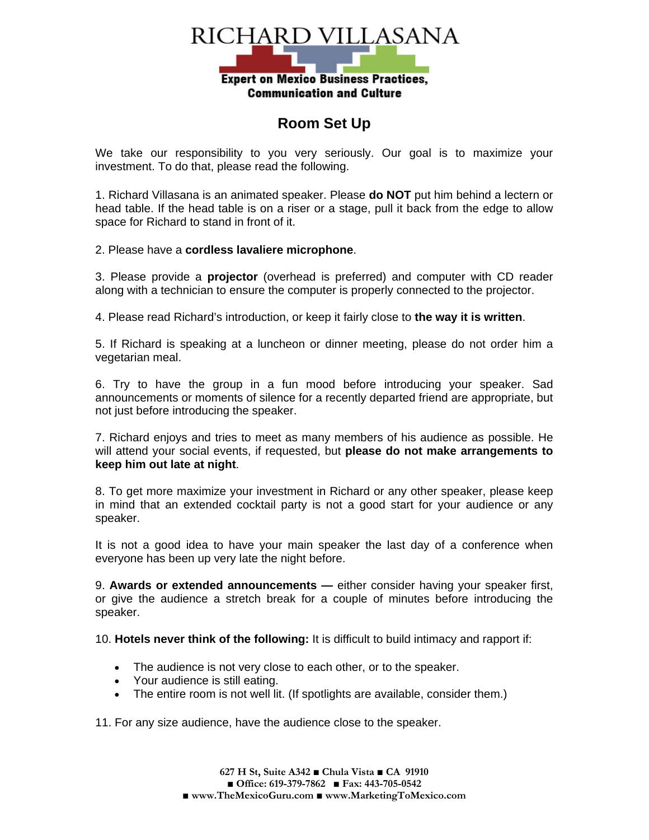

## **Room Set Up**

We take our responsibility to you very seriously. Our goal is to maximize your investment. To do that, please read the following.

1. Richard Villasana is an animated speaker. Please **do NOT** put him behind a lectern or head table. If the head table is on a riser or a stage, pull it back from the edge to allow space for Richard to stand in front of it.

2. Please have a **cordless lavaliere microphone**.

3. Please provide a **projector** (overhead is preferred) and computer with CD reader along with a technician to ensure the computer is properly connected to the projector.

4. Please read Richard's introduction, or keep it fairly close to **the way it is written**.

5. If Richard is speaking at a luncheon or dinner meeting, please do not order him a vegetarian meal.

6. Try to have the group in a fun mood before introducing your speaker. Sad announcements or moments of silence for a recently departed friend are appropriate, but not just before introducing the speaker.

7. Richard enjoys and tries to meet as many members of his audience as possible. He will attend your social events, if requested, but **please do not make arrangements to keep him out late at night**.

8. To get more maximize your investment in Richard or any other speaker, please keep in mind that an extended cocktail party is not a good start for your audience or any speaker.

It is not a good idea to have your main speaker the last day of a conference when everyone has been up very late the night before.

9. **Awards or extended announcements —** either consider having your speaker first, or give the audience a stretch break for a couple of minutes before introducing the speaker.

10. **Hotels never think of the following:** It is difficult to build intimacy and rapport if:

- The audience is not very close to each other, or to the speaker.
- Your audience is still eating.
- The entire room is not well lit. (If spotlights are available, consider them.)

11. For any size audience, have the audience close to the speaker.